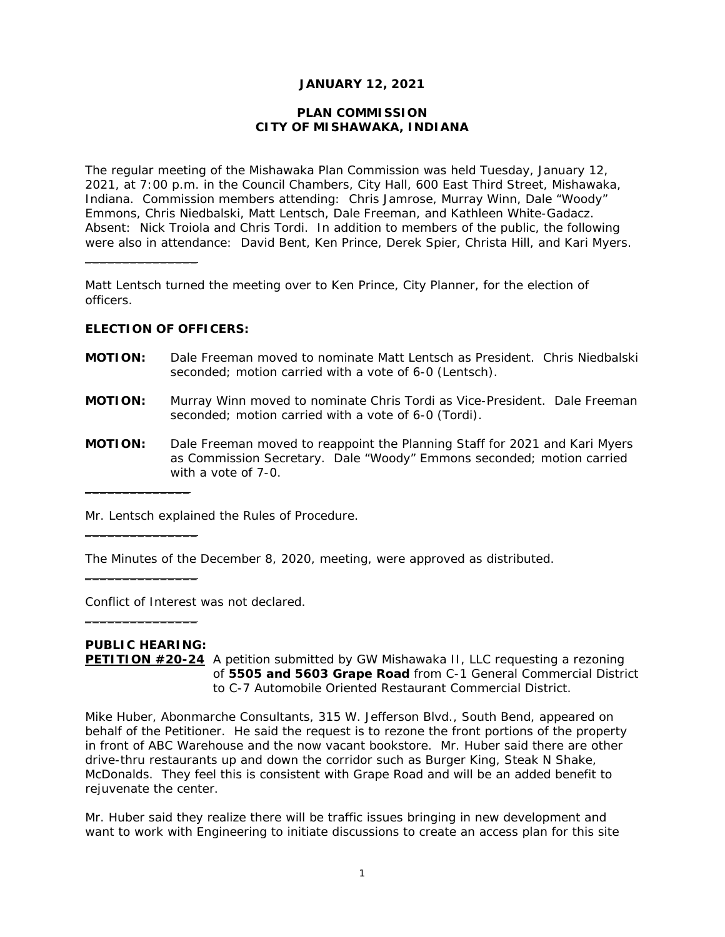## **JANUARY 12, 2021**

### **PLAN COMMISSION CITY OF MISHAWAKA, INDIANA**

The regular meeting of the Mishawaka Plan Commission was held Tuesday, January 12, 2021, at 7:00 p.m. in the Council Chambers, City Hall, 600 East Third Street, Mishawaka, Indiana. Commission members attending: Chris Jamrose, Murray Winn, Dale "Woody" Emmons, Chris Niedbalski, Matt Lentsch, Dale Freeman, and Kathleen White-Gadacz. Absent: Nick Troiola and Chris Tordi. In addition to members of the public, the following were also in attendance: David Bent, Ken Prince, Derek Spier, Christa Hill, and Kari Myers.

Matt Lentsch turned the meeting over to Ken Prince, City Planner, for the election of officers.

## **ELECTION OF OFFICERS:**

 $\overline{\phantom{a}}$  , where  $\overline{\phantom{a}}$  , where  $\overline{\phantom{a}}$ 

- **MOTION:** Dale Freeman moved to nominate Matt Lentsch as President. Chris Niedbalski seconded; motion carried with a vote of 6-0 *(Lentsch)*.
- **MOTION:** Murray Winn moved to nominate Chris Tordi as Vice-President. Dale Freeman seconded; motion carried with a vote of 6-0 *(Tordi)*.
- **MOTION:** Dale Freeman moved to reappoint the Planning Staff for 2021 and Kari Myers as Commission Secretary. Dale "Woody" Emmons seconded; motion carried with a vote of 7-0.

Mr. Lentsch explained the Rules of Procedure.

The Minutes of the December 8, 2020, meeting, were approved as distributed.

Conflict of Interest was not declared.

# **PUBLIC HEARING:**

 $\_$ 

 $\overline{\phantom{a}}$  , where the contract of the contract of the contract of the contract of the contract of the contract of the contract of the contract of the contract of the contract of the contract of the contract of the contr

\_\_\_\_\_\_\_\_\_\_\_\_\_\_\_

 $\_$ 

**PETITION #20-24** A petition submitted by GW Mishawaka II, LLC requesting a rezoning of **5505 and 5603 Grape Road** from C-1 General Commercial District to C-7 Automobile Oriented Restaurant Commercial District.

Mike Huber, Abonmarche Consultants, 315 W. Jefferson Blvd., South Bend, appeared on behalf of the Petitioner. He said the request is to rezone the front portions of the property in front of ABC Warehouse and the now vacant bookstore. Mr. Huber said there are other drive-thru restaurants up and down the corridor such as Burger King, Steak N Shake, McDonalds. They feel this is consistent with Grape Road and will be an added benefit to rejuvenate the center.

Mr. Huber said they realize there will be traffic issues bringing in new development and want to work with Engineering to initiate discussions to create an access plan for this site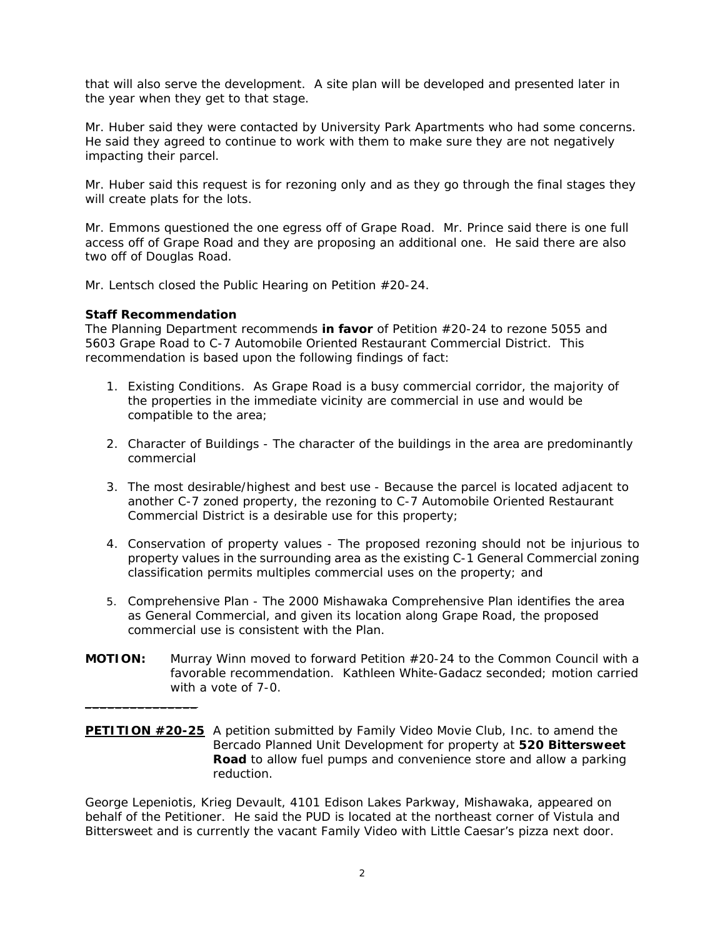that will also serve the development. A site plan will be developed and presented later in the year when they get to that stage.

Mr. Huber said they were contacted by University Park Apartments who had some concerns. He said they agreed to continue to work with them to make sure they are not negatively impacting their parcel.

Mr. Huber said this request is for rezoning only and as they go through the final stages they will create plats for the lots.

Mr. Emmons questioned the one egress off of Grape Road. Mr. Prince said there is one full access off of Grape Road and they are proposing an additional one. He said there are also two off of Douglas Road.

Mr. Lentsch closed the Public Hearing on Petition #20-24.

#### **Staff Recommendation**

 $\_$ 

*The Planning Department recommends in favor of Petition #20-24 to rezone 5055 and 5603 Grape Road to C-7 Automobile Oriented Restaurant Commercial District. This recommendation is based upon the following findings of fact:* 

- *1. Existing Conditions. As Grape Road is a busy commercial corridor, the majority of the properties in the immediate vicinity are commercial in use and would be compatible to the area;*
- *2. Character of Buildings The character of the buildings in the area are predominantly commercial*
- *3. The most desirable/highest and best use Because the parcel is located adjacent to another C-7 zoned property, the rezoning to C-7 Automobile Oriented Restaurant Commercial District is a desirable use for this property;*
- *4. Conservation of property values The proposed rezoning should not be injurious to property values in the surrounding area as the existing C-1 General Commercial zoning classification permits multiples commercial uses on the property; and*
- 5. *Comprehensive Plan The 2000 Mishawaka Comprehensive Plan identifies the area as General Commercial, and given its location along Grape Road, the proposed commercial use is consistent with the Plan.*
- **MOTION:** Murray Winn moved to forward Petition #20-24 to the Common Council with a favorable recommendation. Kathleen White-Gadacz seconded; motion carried with a vote of 7-0.
- **PETITION #20-25** A petition submitted by Family Video Movie Club, Inc. to amend the Bercado Planned Unit Development for property at **520 Bittersweet Road** to allow fuel pumps and convenience store and allow a parking reduction.

George Lepeniotis, Krieg Devault, 4101 Edison Lakes Parkway, Mishawaka, appeared on behalf of the Petitioner. He said the PUD is located at the northeast corner of Vistula and Bittersweet and is currently the vacant Family Video with Little Caesar's pizza next door.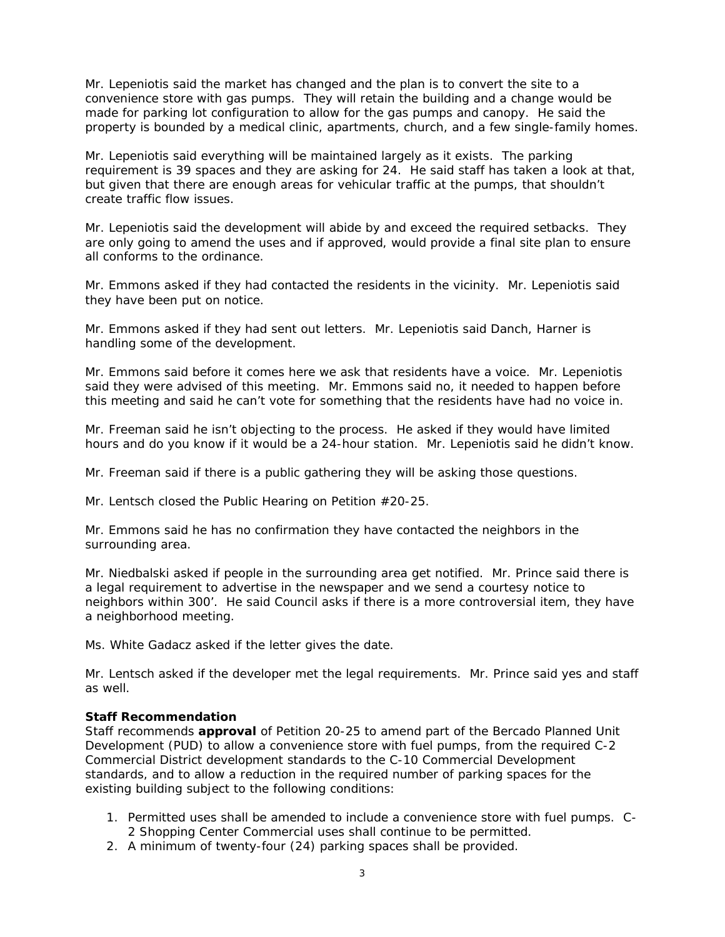Mr. Lepeniotis said the market has changed and the plan is to convert the site to a convenience store with gas pumps. They will retain the building and a change would be made for parking lot configuration to allow for the gas pumps and canopy. He said the property is bounded by a medical clinic, apartments, church, and a few single-family homes.

Mr. Lepeniotis said everything will be maintained largely as it exists. The parking requirement is 39 spaces and they are asking for 24. He said staff has taken a look at that, but given that there are enough areas for vehicular traffic at the pumps, that shouldn't create traffic flow issues.

Mr. Lepeniotis said the development will abide by and exceed the required setbacks. They are only going to amend the uses and if approved, would provide a final site plan to ensure all conforms to the ordinance.

Mr. Emmons asked if they had contacted the residents in the vicinity. Mr. Lepeniotis said they have been put on notice.

Mr. Emmons asked if they had sent out letters. Mr. Lepeniotis said Danch, Harner is handling some of the development.

Mr. Emmons said before it comes here we ask that residents have a voice. Mr. Lepeniotis said they were advised of this meeting. Mr. Emmons said no, it needed to happen before this meeting and said he can't vote for something that the residents have had no voice in.

Mr. Freeman said he isn't objecting to the process. He asked if they would have limited hours and do you know if it would be a 24-hour station. Mr. Lepeniotis said he didn't know.

Mr. Freeman said if there is a public gathering they will be asking those questions.

Mr. Lentsch closed the Public Hearing on Petition #20-25.

Mr. Emmons said he has no confirmation they have contacted the neighbors in the surrounding area.

Mr. Niedbalski asked if people in the surrounding area get notified. Mr. Prince said there is a legal requirement to advertise in the newspaper and we send a courtesy notice to neighbors within 300'. He said Council asks if there is a more controversial item, they have a neighborhood meeting.

Ms. White Gadacz asked if the letter gives the date.

Mr. Lentsch asked if the developer met the legal requirements. Mr. Prince said yes and staff as well.

## **Staff Recommendation**

*Staff recommends approval of Petition 20-25 to amend part of the Bercado Planned Unit Development (PUD) to allow a convenience store with fuel pumps, from the required C-2 Commercial District development standards to the C-10 Commercial Development standards, and to allow a reduction in the required number of parking spaces for the existing building subject to the following conditions:* 

- *1. Permitted uses shall be amended to include a convenience store with fuel pumps. C-2 Shopping Center Commercial uses shall continue to be permitted.*
- *2. A minimum of twenty-four (24) parking spaces shall be provided.*